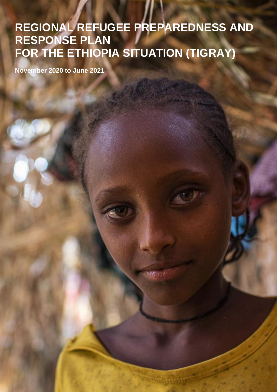### Regional Refugee Preparedness and Response Plan for the Ethiopia Situation (Tigray) **REGIONAL REFUGEE PREPAREDNESS AND RESPONSE PLAN FOR THE ETHIOPIA SITUATION (TIGRAY)**

**REGIONAL RRP** – **NOV EM BER 2020 - JUNE 2021**

466 17

**November 2020 to June 2021**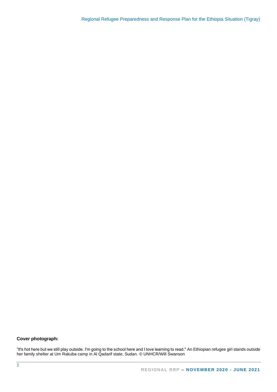#### **Cover photograph:**

"It's hot here but we still play outside. I'm going to the school here and I love learning to read." An Ethiopian refugee girl stands outside her family shelter at Um Rakuba camp in Al Qadarif state, Sudan. © UNHCR/Will Swanson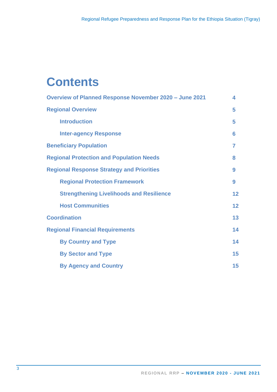# **Contents**

| <b>Overview of Planned Response November 2020 - June 2021</b> | 4  |
|---------------------------------------------------------------|----|
| <b>Regional Overview</b>                                      | 5  |
| <b>Introduction</b>                                           | 5  |
| <b>Inter-agency Response</b>                                  | 6  |
| <b>Beneficiary Population</b>                                 | 7  |
| <b>Regional Protection and Population Needs</b>               | 8  |
| <b>Regional Response Strategy and Priorities</b>              | 9  |
| <b>Regional Protection Framework</b>                          | 9  |
| <b>Strengthening Livelihoods and Resilience</b>               | 12 |
| <b>Host Communities</b>                                       | 12 |
| <b>Coordination</b>                                           | 13 |
| <b>Regional Financial Requirements</b>                        | 14 |
| <b>By Country and Type</b>                                    | 14 |
| <b>By Sector and Type</b>                                     | 15 |
| <b>By Agency and Country</b>                                  | 15 |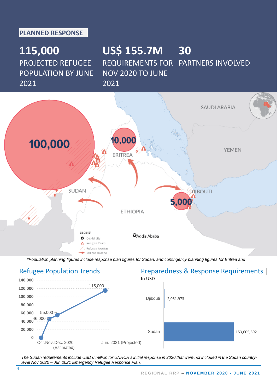#### **PLANNED RESPONSE**

### **115,000** PROJECTED REFUGEE POPULATION BY JUNE 2021

### **US\$ 155.7M 30** REQUIREMENTS FOR PARTNERS INVOLVED NOV 2020 TO JUNE 2021



*\*Population planning figures include response plan figures for Sudan, and contingency planning figures for Eritrea and* 



*The Sudan requirements include USD 6 million for UNHCR's initial response in 2020 that were not included in the Sudan countrylevel Nov 2020 – Jun 2021 Emergency Refugee Response Plan.*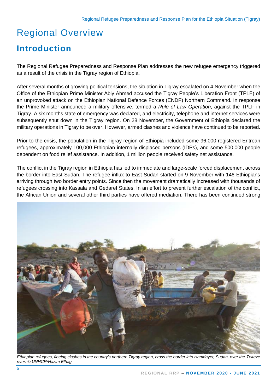## Regional Overview

### **Introduction**

The Regional Refugee Preparedness and Response Plan addresses the new refugee emergency triggered as a result of the crisis in the Tigray region of Ethiopia.

After several months of growing political tensions, the situation in Tigray escalated on 4 November when the Office of the Ethiopian Prime Minister Abiy Ahmed accused the Tigray People's Liberation Front (TPLF) of an unprovoked attack on the Ethiopian National Defence Forces (ENDF) Northern Command. In response the Prime Minister announced a military offensive, termed a *Rule of Law Operation*, against the TPLF in Tigray. A six months state of emergency was declared, and electricity, telephone and internet services were subsequently shut down in the Tigray region. On 28 November, the Government of Ethiopia declared the military operations in Tigray to be over. However, armed clashes and violence have continued to be reported.

Prior to the crisis, the population in the Tigray region of Ethiopia included some 96,000 registered Eritrean refugees, approximately 100,000 Ethiopian internally displaced persons (IDPs), and some 500,000 people dependent on food relief assistance. In addition, 1 million people received safety net assistance.

The conflict in the Tigray region in Ethiopia has led to immediate and large-scale forced displacement across the border into East Sudan. The refugee influx to East Sudan started on 9 November with 146 Ethiopians arriving through two border entry points. Since then the movement dramatically increased with thousands of refugees crossing into Kassala and Gedaref States. In an effort to prevent further escalation of the conflict, the African Union and several other third parties have offered mediation. There has been continued strong



*Ethiopian refugees, fleeing clashes in the country's northern Tigray region, cross the border into Hamdayet, Sudan, over the Tekeze river. © UNHCR/Hazim Elhag*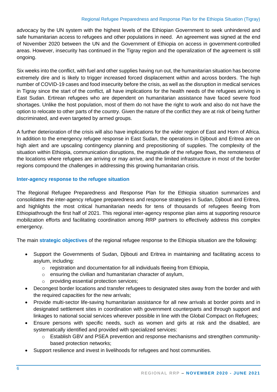#### Regional Refugee Preparedness and Response Plan for the Ethiopia Situation (Tigray)

advocacy by the UN system with the highest levels of the Ethiopian Government to seek unhindered and safe humanitarian access to refugees and other populations in need. An agreement was signed at the end of November 2020 between the UN and the Government of Ethiopia on access in government-controlled areas. However, insecurity has continued in the Tigray region and the operalization of the agreement is still ongoing.

Six weeks into the conflict, with fuel and other supplies having run out, the humanitarian situation has become extremely dire and is likely to trigger increased forced displacement within and across borders. The high number of COVID-19 cases and food insecurity before the crisis, as well as the disruption in medical services in Tigray since the start of the conflict, all have implications for the health needs of the refugees arriving in East Sudan. Ertirean refugees who are dependent on humanitarian assistance have faced severe food shortages. Unlike the host population, most of them do not have the right to work and also do not have the option to relocate to other parts of the country. Given the nature of the conflict they are at risk of being further discriminated, and even targeted by armed groups.

A further deterioration of the crisis will also have implications for the wider region of East and Horn of Africa. In addition to the emergency refugee response in East Sudan, the operations in Djibouti and Eritrea are on high alert and are upscaling contingency planning and prepositioning of supplies. The complexity of the situation within Ethiopia, communication disruptions, the magnitude of the refugee flows, the remoteness of the locations where refugees are arriving or may arrive, and the limited infrastructure in most of the border regions compound the challenges in addressing this growing humanitarian crisis.

#### **Inter-agency response to the refugee situation**

The Regional Refugee Preparedness and Response Plan for the Ethiopia situation summarizes and consolidates the inter-agency refugee preparedness and response strategies in Sudan, Djibouti and Eritrea, and highlights the most critical humanitarian needs for tens of thousands of refugees fleeing from Ethiopiathrough the first half of 2021. This regional inter-agency response plan aims at supporting resource mobilization efforts and facilitating coordination among RRP partners to effectively address this complex emergency.

The main **strategic objectives** of the regional refugee response to the Ethiopia situation are the following:

- Support the Governments of Sudan, Djibouti and Eritrea in maintaining and facilitating access to asylum, including:
	- o registration and documentation for all individuals fleeing from Ethiopia,
	- $\circ$  ensuring the civilian and humanitarian character of asylum,
	- o providing essential protection services;
- Decongest border locations and transfer refugees to designated sites away from the border and with the required capacities for the new arrivals;
- Provide multi-sector life-saving humanitarian assistance for all new arrivals at border points and in designated settlement sites in coordination with government counterparts and through support and linkages to national social services wherever possible in line with the Global Compact on Refugees;
- Ensure persons with specific needs, such as women and girls at risk and the disabled, are systematically identified and provided with specialized services:
	- o Establish GBV and PSEA prevention and response mechanisms and strengthen communitybased protection networks;
- Support resilience and invest in livelihoods for refugees and host communities.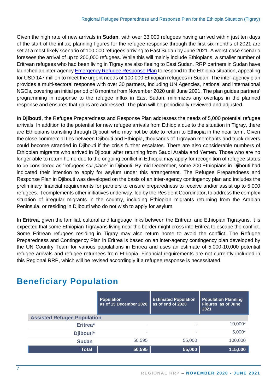Given the high rate of new arrivals in **Sudan**, with over 33,000 refugees having arrived within just ten days of the start of the influx, planning figures for the refugee response through the first six months of 2021 are set at a most-likely scenario of 100,000 refugees arriving to East Sudan by June 2021. A worst-case scenario foresees the arrival of up to 200,000 refugees. While this will mainly include Ethiopians, a smaller number of Eritrean refugees who had been living in Tigray are also fleeing to East Sudan. RRP partners in Sudan have launched an inter-agency [Emergency Refugee Response Plan](https://data2.unhcr.org/en/documents/details/83331) to respond to the Ethiopia situation, appealing for USD 147 million to meet the urgent needs of 100,000 Ethiopian refugees in Sudan. The inter-agency plan provides a multi-sectoral response with over 30 partners, including UN Agencies, national and international NGOs, covering an initial period of 8 months from November 2020 until June 2021. The plan guides partners' programming in response to the refugee influx in East Sudan, minimizes any overlaps in the planned response and ensures that gaps are addressed. The plan will be periodically reviewed and adjusted.

In **Djibouti**, the Refugee Preparedness and Response Plan addresses the needs of 5,000 potential refugee arrivals. In addition to the potential for new refugee arrivals from Ethiopia due to the situation in Tigray, there are Ethiopians transiting through Djibouti who may not be able to return to Ethiopia in the near term. Given the close commercial ties between Djibouti and Ethiopia, thousands of Tigrayan merchants and truck drivers could become stranded in Djibouti if the crisis further escalates. There are also considerable numbers of Ethiopian migrants who arrived in Djibouti after returning from Saudi Arabia and Yemen. Those who are no longer able to return home due to the ongoing conflict in Ethiopia may apply for recognition of refugee status to be considered as "refugees *sur place*" in Djibouti. By mid December, some 200 Ethiopians in Djibouti had indicated their intention to apply for asylum under this arrangement. The Refugee Preparedness and Response Plan in Djibouti was developed on the basis of an inter-agency contingency plan and includes the preliminary financial requirements for partners to ensure preparedness to receive and/or assist up to 5,000 refugees. It complements other initiatives underway, led by the Resident Coordinator, to address the complex situation of irregular migrants in the country, including Ethiopian migrants returning from the Arabian Peninsula, or residing in Djibouti who do not wish to apply for asylum.

In **Eritrea**, given the familial, cultural and language links between the Eritrean and Ethiopian Tigrayans, it is expected that some Ethiopian Tigrayans living near the border might cross into Eritrea to escape the conflict. Some Eritrean refugees residing in Tigray may also return home to avoid the conflict. The Refugee Preparedness and Contingency Plan in Eritrea is based on an inter-agency contingency plan developed by the UN Country Team for various populations in Eritrea and uses an estimate of 5,000-10,000 potential refugee arrivals and refugee returnees from Ethiopia. Financial requirements are not currently included in this Regional RRP, which will be revised accordingly if a refugee response is necessitated.

|                                    | <b>Population</b><br>as of 15 December 2020 | <b>Estimated Population</b><br>as of end of 2020 | <b>Population Planning</b><br><b>Figures as of June</b><br>2021 |  |
|------------------------------------|---------------------------------------------|--------------------------------------------------|-----------------------------------------------------------------|--|
| <b>Assisted Refugee Population</b> |                                             |                                                  |                                                                 |  |
| Eritrea*                           |                                             | -                                                | $10,000*$                                                       |  |
| Djibouti*                          | ٠                                           | ۰                                                | $5,000*$                                                        |  |
| <b>Sudan</b>                       | 50,595                                      | 55,000                                           | 100,000                                                         |  |
| <b>Total</b>                       | 50,595                                      | 55,000                                           | 115,000                                                         |  |

### **Beneficiary Population**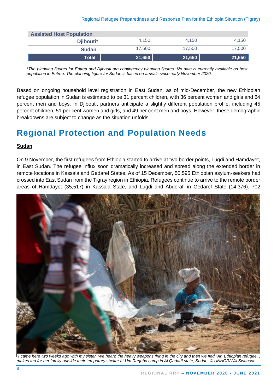| <b>Assisted Host Population</b> |        |        |        |
|---------------------------------|--------|--------|--------|
| Djibouti*                       | 4.150  | 4.150  | 4.150  |
| <b>Sudan</b>                    | 17.500 | 17.500 | 17,500 |
| <b>Total</b>                    | 21,650 | 21,650 | 21,650 |

*\*The planning figures for Eritrea and Djibouti are contingency planning figures. No data is currently available on host population in Eritrea. The planning figure for Sudan is based on arrivals since early November 2020.*

 Based on ongoing household level registration in East Sudan, as of mid-December, the new Ethiopian refugee population in Sudan is estimated to be 31 percent children, with 36 percent women and girls and 64 percent men and boys. In Djibouti, partners anticipate a slightly different population profile, including 45 percent children, 51 per cent women and girls, and 49 per cent men and boys. However, these demographic breakdowns are subject to change as the situation unfolds.

### **Regional Protection and Population Needs**

#### **Sudan**

On 9 November, the first refugees from Ethiopia started to arrive at two border points, Lugdi and Hamdayet, in East Sudan. The refugee influx soon dramatically increased and spread along the extended border in remote locations in Kassala and Gedaref States. As of 15 December, 50,595 Ethiopian asylum-seekers had crossed into East Sudan from the Tigray region in Ethiopia. Refugees continue to arrive to the remote border areas of Hamdayet (35,517) in Kassala State, and Lugdi and Abderafi in Gedaref State (14,376). 702



*"I came here two weeks ago with my sister. We heard the heavy weapons firing in the city and then we fled."An Ethiopian refugee, , makes tea for her family outside their temporary shelter at Um Raquba camp in Al Qadarif state, Sudan. © UNHCR/Will Swanson*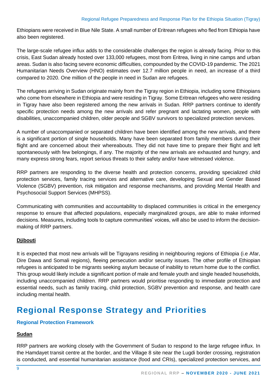Ethiopians were received in Blue Nile State. A small number of Eritrean refugees who fled from Ethiopia have also been registered.

The large-scale refugee influx adds to the considerable challenges the region is already facing. Prior to this crisis, East Sudan already hosted over 133,000 refugees, most from Eritrea, living in nine camps and urban areas. Sudan is also facing severe economic difficulties, compounded by the COVID-19 pandemic. The 2021 Humanitarian Needs Overview (HNO) estimates over 12.7 million people in need, an increase of a third compared to 2020. One million of the people in need in Sudan are refugees.

The refugees arriving in Sudan originate mainly from the Tigray region in Ethiopia, including some Ethiopians who come from elsewhere in Ethiopia and were residing in Tigray. Some Eritrean refugees who were residing in Tigray have also been registered among the new arrivals in Sudan. RRP partners continue to identify specific protection needs among the new arrivals and refer pregnant and lactating women, people with disabilities, unaccompanied children, older people and SGBV survivors to specialized protection services.

A number of unaccompanied or separated children have been identified among the new arrivals, and there is a significant portion of single households. Many have been separated from family members during their flight and are concerned about their whereabouts. They did not have time to prepare their flight and left spontaneously with few belongings, if any. The majority of the new arrivals are exhausted and hungry, and many express strong fears, report serious threats to their safety and/or have witnessed violence.

RRP partners are responding to the diverse health and protection concerns, providing specialized child protection services, family tracing services and alternative care, developing Sexual and Gender Based Violence (SGBV) prevention, risk mitigation and response mechanisms, and providing Mental Health and Psychosocial Support Services (MHPSS).

Communicating with communities and accountability to displaced communities is critical in the emergency response to ensure that affected populations, especially marginalized groups, are able to make informed decisions. Measures, including tools to capture communities' voices, will also be used to inform the decisionmaking of RRP partners.

#### **Djibouti**

It is expected that most new arrivals will be Tigrayans residing in neighbouring regions of Ethiopia (i.e Afar, Dire Dawa and Somali regions), fleeing persecution and/or security issues. The other profile of Ethiopian refugees is anticipated to be migrants seeking asylum because of inability to return home due to the conflict. This group would likely include a significant portion of male and female youth and single headed households, including unaccompanied children. RRP partners would prioritise responding to immediate protection and essential needs, such as family tracing, child protection, SGBV prevention and response, and health care including mental health.

### **Regional Response Strategy and Priorities**

#### **Regional Protection Framework**

#### **Sudan**

RRP partners are working closely with the Government of Sudan to respond to the large refugee influx. In the Hamdayet transit centre at the border, and the Village 8 site near the Lugdi border crossing, registration is conducted, and essential humanitarian assistance (food and CRIs), specialized protection services, and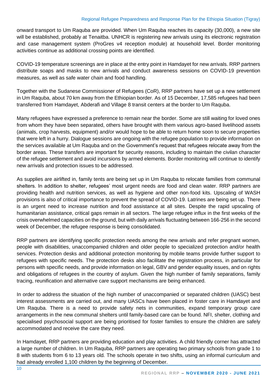onward transport to Um Raquba are provided. When Um Raquba reaches its capacity (30,000), a new site will be established, probably at Tenaitba. UNHCR is registering new arrivals using its electronic registration and case management system (ProGres v4 reception module) at household level. Border monitoring activities continue as additional crossing points are identified.

COVID-19 temperature screenings are in place at the entry point in Hamdayet for new arrivals. RRP partners distribute soaps and masks to new arrivals and conduct awareness sessions on COVID-19 prevention measures, as well as safe water chain and food handling.

Together with the Sudanese Commissioner of Refugees (CoR), RRP partners have set up a new settlement in Um Raquba, about 70 km away from the Ethiopian border. As of 15 December, 17,585 refugees had been transferred from Hamdayet, Abderafi and Village 8 transit centers at the border to Um Raquba.

Many refugees have expressed a preference to remain near the border. Some are still waiting for loved ones from whom they have been separated, others have brought with them various agro-based livelihood assets (animals, crop harvests, equipment) and/or would hope to be able to return home soon to secure properties that were left in a hurry. Dialogue sessions are ongoing with the refugee population to provide information on the services available at Um Raquba and on the Government's request that refugees relocate away from the border areas. These transfers are important for security reasons, including to maintain the civilan character of the refugee settlement and avoid incursions by armed elements. Border monitoring will continue to identify new arrivals and protection issues to be addressed.

As supplies are airlifted in, family tents are being set up in Um Raquba to relocate families from communal shelters. In addition to shelter, refugees' most urgent needs are food and clean water. RRP partners are providing health and nutrition services, as well as hygiene and other non-food kits. Upscaling of WASH provisions is also of critical importance to prevent the spread of COVID-19. Latrines are being set up. There is an urgent need to increase nutrition and food assistance at all sites. Despite the rapid upscaling of humanitarian assistance, critical gaps remain in all sectors. The large refugee influx in the first weeks of the crisis overwhelmed capacities on the ground, but with daily arrivals fluctuating between 166-256 in the second week of December, the refugee response is being consolidated.

RRP partners are identifying specific protection needs among the new arrivals and refer pregnant women, people with disabilities, unaccompanied children and older people to specialized protection and/or health services. Protection desks and additional protection monitoring by mobile teams provide further support to refugees with specific needs. The protection desks also facilitate the registration process, in particular for persons with specific needs, and provide information on legal, GBV and gender equality issues, and on rights and obligations of refugees in the country of asylum. Given the high number of family separations, family tracing, reunification and alternative care support mechanisms are being enhanced.

In order to address the situation of the high number of unaccompanied or separated children (UASC) best interest assessments are carried out, and many UASCs have been placed in foster care in Hamdayet and Um Raquba. There is a need to provide safety nets in communities, expand temporary group care arrangements in the new communal shelters until family-based care can be found. NFI, shelter, clothing and specialised psychosocial support are being prioritised for foster families to ensure the children are safely accommodated and receive the care they need.

In Hamdayet, RRP partners are providing education and play activities. A child friendly corner has attracted a large number of children. In Um Raquba, RRP partners are operating two primary schools from grade 1 to 8 with students from 6 to 13 years old. The schools operate in two shifts, using an informal curriculum and had already enrolled 1,100 children by the beginning of December.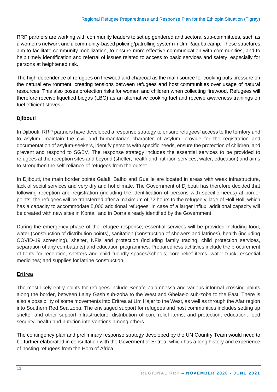RRP partners are working with community leaders to set up gendered and sectoral sub-committees, such as a women's network and a community-based policing/patrolling system in Um Raquba camp. These structures aim to facilitate community mobilization, to ensure more effective communication with communities, and to help timely identification and referral of issues related to access to basic services and safety, especially for persons at heightened risk.

The high dependence of refugees on firewood and charcoal as the main source for cooking puts pressure on the natural environment, creating tensions between refugees and host communities over usage of natural resources. This also poses protection risks for women and children when collecting firewood. Refugees will therefore receive liquefied biogas (LBG) as an alternative cooking fuel and receive awareness trainings on fuel efficient stoves.

#### **Djibouti**

In Djibouti, RRP partners have developed a response strategy to ensure refugees' access to the territory and to asylum, maintain the civil and humanitarian character of asylum, provide for the registration and documentation of asylum-seekers, identify persons with specific needs, ensure the protection of children, and prevent and respond to SGBV. The response strategy includes the essential services to be provided to refugees at the reception sites and beyond (shelter, health and nutrition services, water, education) and aims to strengthen the self-reliance of refugees from the outset.

In Djibouti, the main border points Galafi, Balho and Guelile are located in areas with weak infrastructure, lack of social services and very dry and hot climate. The Government of Djibouti has therefore decided that following reception and registration (including the identification of persons with specific needs) at border points, the refugees will be transferred after a maximum of 72 hours to the refugee village of Holl Holl, which has a capacity to accommodate 5,000 additional refugees. In case of a larger influx, additional capacity will be created with new sites in Kontali and in Dorra already identified by the Government.

During the emergency phase of the refugee response, essential services will be provided including food, water (construction of distribution points), sanitation (construction of showers and latrines), health (including COVID-19 screening), shelter, NFIs and protection (including family tracing, child protection services, separation of any combatants) and education programmes. Preparedness actitivies include the procurement of tents for reception, shelters and child friendly spaces/schools; core relief items; water truck; essential medicines; and supplies for latrine construction.

#### **Eritrea**

The most likely entry points for refugees include Senafe-Zalambessa and various informal crossing points along the border, between Lalay Gash sub-zoba to the West and Ghelaelo sub-zoba to the East. There is also a possibility of some movements into Eritrea at Um Hajer to the West, as well as through the Afar region into Southern Red Sea zoba. The envisaged support for refugees and host communities includes setting up shelter and other support infrastructure, distribution of core relief items, and protection, education, food security, health and nutrition interventions among others.

The contingency plan and preliminary response strategy developed by the UN Country Team would need to be further elaborated in consultation with the Goverment of Eritrea, which has a long history and experience of hosting refugees from the Horn of Africa.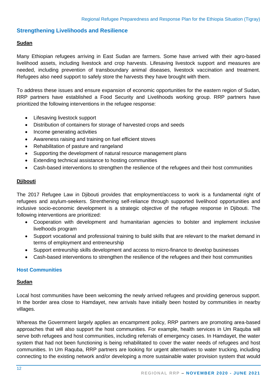#### **Strengthening Livelihoods and Resilience**

#### **Sudan**

Many Ethiopian refugees arriving in East Sudan are farmers. Some have arrived with their agro-based livelihood assets, including livestock and crop harvests. Lifesaving livestock support and measures are needed, including prevention of transboundary animal diseases, livestock vaccination and treatment. Refugees also need support to safely store the harvests they have brought with them.

To address these issues and ensure expansion of economic opportunities for the eastern region of Sudan, RRP partners have established a Food Security and Livelihoods working group. RRP partners have prioritized the following interventions in the refugee response:

- Lifesaving livestock support
- Distribution of containers for storage of harvested crops and seeds
- Income generating activities
- Awareness raising and training on fuel efficient stoves
- Rehabilitation of pasture and rangeland
- Supporting the development of natural resource management plans
- Extending technical assistance to hosting communities
- Cash-based interventions to strengthen the resilience of the refugees and their host communities

#### **Djibouti**

The 2017 Refugee Law in Djibouti provides that employment/access to work is a fundamental right of refugees and asylum-seekers. Strenthening self-reliance through supported livelihood opportunities and inclusive socio-economic development is a strategic objective of the refugee response in Djibouti. The following interventions are prioritized:

- Cooperation with development and humanitarian agencies to bolster and implement inclusive livelhoods program
- Support vocational and professional training to build skills that are relevant to the market demand in terms of employment and entreneurship
- Support entreurship skills development and access to micro-finance to develop businesses
- Cash-based interventions to strengthen the resilience of the refugees and their host communities

#### **Host Communities**

#### **Sudan**

Local host communities have been welcoming the newly arrived refugees and providing generous support. In the border area close to Hamdayet, new arrivals have initially been hosted by communities in nearby villages.

Whereas the Government largely applies an encampment policy, RRP partners are promoting area-based approaches that will also support the host communities. For example, health services in Um Raquba will serve both refugees and host communities, including referrals of emergency cases. In Hamdayet, the water system that had not been functioning is being rehabilitated to cover the water needs of refugees and host communities. In Um Raquba, RRP partners are looking for urgent alternatives to water trucking, including connecting to the existing network and/or developing a more sustainable water provision system that would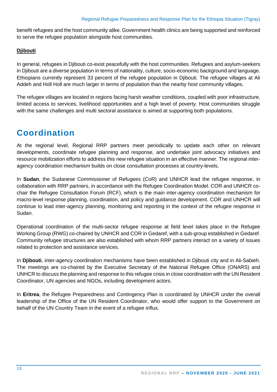benefit refugees and the host community alike. Government health clinics are being supported and reinforced to serve the refugee population alongside host communities.

#### **Djibouti**

In general, refugees in Djibouti co-exist peacefully with the host communities. Refugees and asylum-seekers in Djibouti are a diverse population in terms of nationality, culture, socio-economic background and language. Ethiopians currently represent 33 percent of the refugee population in Djibouti. The refugee villages at Ali Addeh and Holl Holl are much larger in terms of population than the nearby host community villages.

The refugee villages are located in regions facing harsh weather conditions, coupled with poor infrastructure, limited access to services, livelihood opportunities and a high level of poverty. Host communities struggle with the same challenges and multi sectoral assistance is aimed at supporting both populations.

### **[Coordination](http://www.unhcr.org/syriarrp6/docs/syria-rrp6-strategic-overview.pdf#J)**

At the regional level, Regional RRP partners meet periodically to update each other on relevant developments, coordinate refugee planning and response, and undertake joint advocacy initiatives and resource mobilization efforts to address this new refugee situation in an effective manner. The regional interagency coordination mechanism builds on close consultation processes at country-levels.

In **Sudan**, the Sudanese Commissioner of Refugees (CoR) and UNHCR lead the refugee response, in collaboration with RRP partners, in accordance with the Refugee Coordination Model. COR and UNHCR cochair the Refugee Consultation Forum (RCF), which is the main inter-agency coordination mechanism for macro-level response planning, coordination, and policy and guidance development. COR and UNHCR will continue to lead inter-agency planning, monitoring and reporting in the context of the refugee response in Sudan.

Operational coordination of the multi-sector refugee response at field level takes place in the Refugee Working Group (RWG) co-chaired by UNHCR and COR in Gedaref, with a sub-group established in Gedaref. Community refugee structures are also established with whom RRP partners interact on a variety of issues related to protection and assistance services.

In **Djibouti**, inter-agency coordination mechanisms have been established in Djibouti city and in Ali-Sabieh. The meetings are co-chaired by the Executive Secretary of the National Refugee Office (ONARS) and UNHCR to discuss the planning and response to this refugee crisis in close coordination with the UN Resident Coordinator, UN agencies and NGOs, including development actors.

In **Eritrea**, the Refugee Preparedness and Contingency Plan is coordinated by UNHCR under the overall leadership of the Office of the UN Resident Coordinator, who would offer support to the Government on behalf of the UN Country Team in the event of a refugee influx.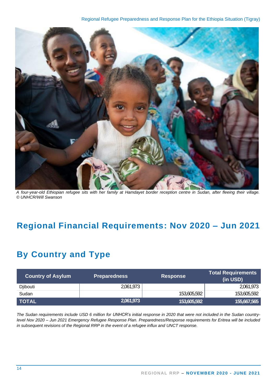

*A four-year-old Ethiopian refugee sits with her family at Hamdayet border reception centre in Sudan, after fleeing their village. © UNHCR/Will Swanson*

### **Regional Financial Requirements: Nov 2020 – Jun 2021**

### **By Country and Type**

| <b>Country of Asylum</b> | <b>Preparedness</b> | <b>Response</b> | <b>Total Requirements</b><br>(in USD) |
|--------------------------|---------------------|-----------------|---------------------------------------|
| Djibouti                 | 2,061,973           |                 | 2,061,973                             |
| Sudan                    |                     | 153,605,592     | 153,605,592                           |
| <b>TOTAL</b>             | 2,061,973           | 153,605,592     | 155,667,565                           |

*The Sudan requirements include USD 6 million for UNHCR's initial response in 2020 that were not included in the Sudan countrylevel Nov 2020 – Jun 2021 Emergency Refugee Response Plan. Preparedness/Response requirements for Eritrea will be included in subsequent revisions of the Regional RRP in the event of a refugee influx and UNCT response.*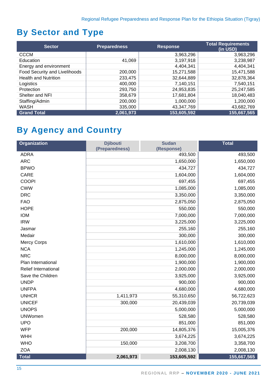### **By Sector and Type**

| <b>Sector</b>                 | <b>Preparedness</b> | <b>Response</b> | <b>Total Requirements</b><br>(in USD) |
|-------------------------------|---------------------|-----------------|---------------------------------------|
| <b>CCCM</b>                   |                     | 3,963,296       | 3,963,296                             |
| Education                     | 41,069              | 3,197,918       | 3,238,987                             |
| Energy and environment        |                     | 4,404,341       | 4,404,341                             |
| Food Security and Livelihoods | 200,000             | 15,271,588      | 15,471,588                            |
| <b>Health and Nutrition</b>   | 233,475             | 32,644,889      | 32,878,364                            |
| Logistics                     | 400,000             | 7,140,151       | 7,540,151                             |
| Protection                    | 293,750             | 24,953,835      | 25,247,585                            |
| Shelter and NFI               | 358,679             | 17,681,804      | 18,040,483                            |
| Staffing/Admin                | 200,000             | 1,000,000       | 1,200,000                             |
| <b>WASH</b>                   | 335,000             | 43,347,769      | 43,682,769                            |
| <b>Grand Total</b>            | 2,061,973           | 153,605,592     | 155,667,565                           |

### **By Agency and Country**

| Organization                | <b>Djibouti</b><br>(Preparedness) | <b>Sudan</b><br>(Response) | <b>Total</b> |
|-----------------------------|-----------------------------------|----------------------------|--------------|
| <b>ADRA</b>                 |                                   | 493,500                    | 493,500      |
| <b>ARC</b>                  |                                   | 1,650,000                  | 1,650,000    |
| <b>BPWO</b>                 |                                   | 434,727                    | 434,727      |
| <b>CARE</b>                 |                                   | 1,604,000                  | 1,604,000    |
| <b>COOPI</b>                |                                   | 697,455                    | 697,455      |
| <b>CWW</b>                  |                                   | 1,085,000                  | 1,085,000    |
| <b>DRC</b>                  |                                   | 3,350,000                  | 3,350,000    |
| <b>FAO</b>                  |                                   | 2,875,050                  | 2,875,050    |
| <b>HOPE</b>                 |                                   | 550,000                    | 550,000      |
| <b>IOM</b>                  |                                   | 7,000,000                  | 7,000,000    |
| <b>IRW</b>                  |                                   | 3,225,000                  | 3,225,000    |
| Jasmar                      |                                   | 255,160                    | 255,160      |
| Medair                      |                                   | 300,000                    | 300,000      |
| <b>Mercy Corps</b>          |                                   | 1,610,000                  | 1,610,000    |
| <b>NCA</b>                  |                                   | 1,245,000                  | 1,245,000    |
| <b>NRC</b>                  |                                   | 8,000,000                  | 8,000,000    |
| Plan International          |                                   | 1,900,000                  | 1,900,000    |
| <b>Relief International</b> |                                   | 2,000,000                  | 2,000,000    |
| Save the Children           |                                   | 3,925,000                  | 3,925,000    |
| <b>UNDP</b>                 |                                   | 900,000                    | 900,000      |
| <b>UNFPA</b>                |                                   | 4,680,000                  | 4,680,000    |
| <b>UNHCR</b>                | 1,411,973                         | 55,310,650                 | 56,722,623   |
| <b>UNICEF</b>               | 300,000                           | 20,439,039                 | 20,739,039   |
| <b>UNOPS</b>                |                                   | 5,000,000                  | 5,000,000    |
| <b>UNWomen</b>              |                                   | 528,580                    | 528,580      |
| <b>UPO</b>                  |                                   | 851,000                    | 851,000      |
| <b>WFP</b>                  | 200,000                           | 14,805,376                 | 15,005,376   |
| WHH                         |                                   | 3,674,225                  | 3,674,225    |
| <b>WHO</b>                  | 150,000                           | 3,208,700                  | 3,358,700    |
| <b>ZOA</b>                  |                                   | 2,008,130                  | 2,008,130    |
| <b>Total</b>                | 2,061,973                         | 153,605,592                | 155,667,565  |